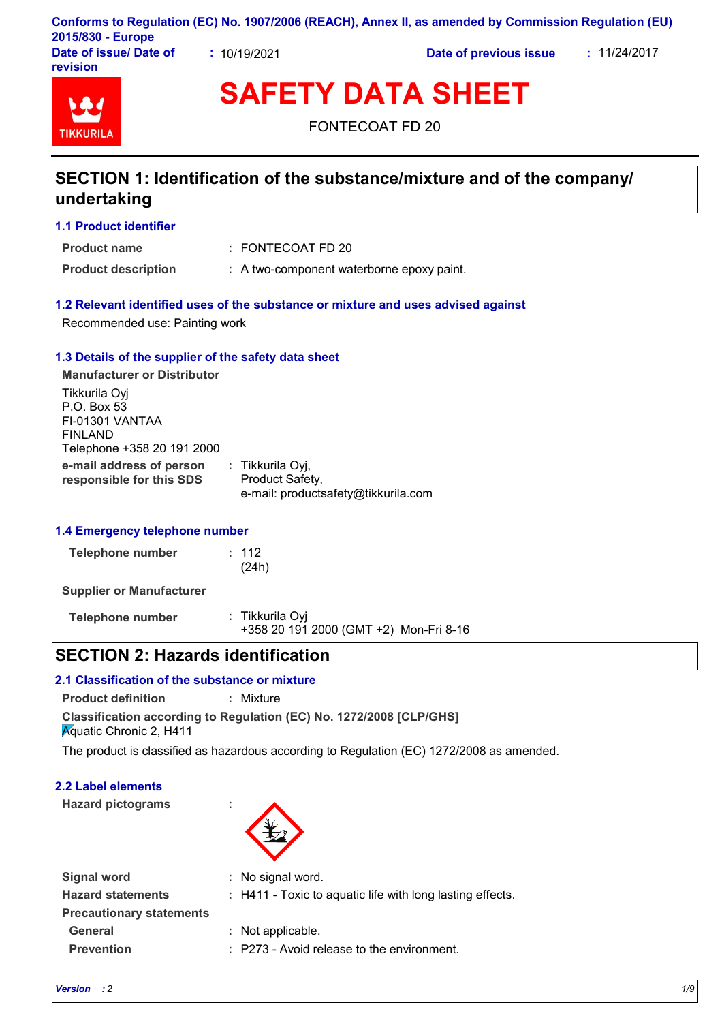|                                    |            | Conforms to Regulation (EC) No. 1907/2006 (REACH), Annex II, as amended by Commission Regulation (EU) |              |
|------------------------------------|------------|-------------------------------------------------------------------------------------------------------|--------------|
| 2015/830 - Europe                  |            |                                                                                                       |              |
| Date of issue/ Date of<br>revision | 10/19/2021 | Date of previous issue                                                                                | : 11/24/2017 |

# **TIKKURII**

**SAFETY DATA SHEET**

FONTECOAT FD 20

## **SECTION 1: Identification of the substance/mixture and of the company/ undertaking**

#### **1.1 Product identifier**

**Product name**

FONTECOAT FD 20 **:**

**Product description :** A two-component waterborne epoxy paint.

#### **1.2 Relevant identified uses of the substance or mixture and uses advised against**

Recommended use: Painting work

#### **1.3 Details of the supplier of the safety data sheet**

**e-mail address of person responsible for this SDS :** Tikkurila Oyj, Product Safety, e-mail: productsafety@tikkurila.com **Manufacturer or Distributor** Tikkurila Oyj P.O. Box 53 FI-01301 VANTAA FINLAND Telephone +358 20 191 2000

#### **1.4 Emergency telephone number**

| Telephone number | : 112 |
|------------------|-------|
|                  | (24h) |

**Supplier or Manufacturer**

| Telephone number | : Tikkurila Oyi                        |  |
|------------------|----------------------------------------|--|
|                  | +358 20 191 2000 (GMT +2) Mon-Fri 8-16 |  |

## **SECTION 2: Hazards identification**

#### **2.1 Classification of the substance or mixture**

**Product definition :** Mixture

**Classification according to Regulation (EC) No. 1272/2008 [CLP/GHS] Aquatic Chronic 2, H411** 

The product is classified as hazardous according to Regulation (EC) 1272/2008 as amended.

#### **2.2 Label elements**

**Hazard pictograms :**



| <b>Signal word</b>              | : No signal word.                                         |
|---------------------------------|-----------------------------------------------------------|
| <b>Hazard statements</b>        | : H411 - Toxic to aquatic life with long lasting effects. |
| <b>Precautionary statements</b> |                                                           |
| General                         | : Not applicable.                                         |
| <b>Prevention</b>               | : P273 - Avoid release to the environment.                |
|                                 |                                                           |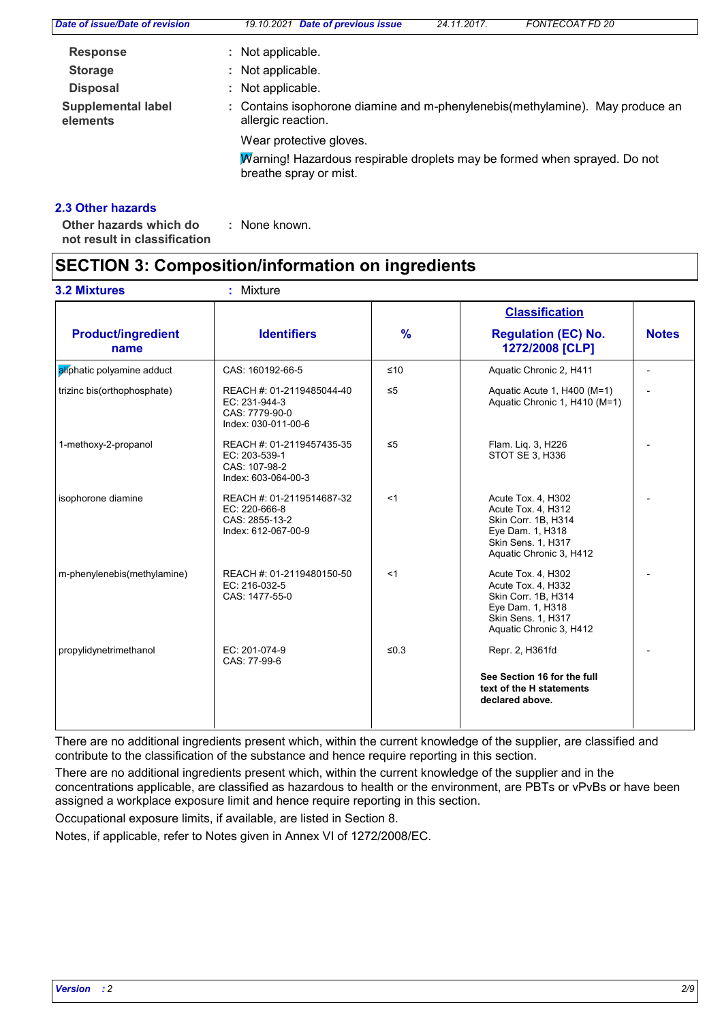| Date of issue/Date of revision        | 19.10.2021 Date of previous issue                                                                    | 24.11.2017. | <b>FONTECOAT FD 20</b> |
|---------------------------------------|------------------------------------------------------------------------------------------------------|-------------|------------------------|
| <b>Response</b>                       | : Not applicable.                                                                                    |             |                        |
| <b>Storage</b>                        | : Not applicable.                                                                                    |             |                        |
| <b>Disposal</b>                       | : Not applicable.                                                                                    |             |                        |
| <b>Supplemental label</b><br>elements | : Contains isophorone diamine and m-phenylenebis (methylamine). May produce an<br>allergic reaction. |             |                        |
|                                       | Wear protective gloves.                                                                              |             |                        |
|                                       | Marning! Hazardous respirable droplets may be formed when sprayed. Do not<br>breathe spray or mist.  |             |                        |
|                                       |                                                                                                      |             |                        |

#### **2.3 Other hazards**

**Other hazards which do : not result in classification** : None known.

## **SECTION 3: Composition/information on ingredients**

|                                   |                                                                                     |               | <b>Classification</b>                                                                                                                |              |
|-----------------------------------|-------------------------------------------------------------------------------------|---------------|--------------------------------------------------------------------------------------------------------------------------------------|--------------|
| <b>Product/ingredient</b><br>name | <b>Identifiers</b>                                                                  | $\frac{9}{6}$ | <b>Regulation (EC) No.</b><br>1272/2008 [CLP]                                                                                        | <b>Notes</b> |
| aliphatic polyamine adduct        | CAS: 160192-66-5                                                                    | $\leq 10$     | Aquatic Chronic 2, H411                                                                                                              |              |
| trizinc bis(orthophosphate)       | REACH #: 01-2119485044-40<br>EC: 231-944-3<br>CAS: 7779-90-0<br>Index: 030-011-00-6 | $\leq 5$      | Aquatic Acute 1, H400 (M=1)<br>Aquatic Chronic 1, H410 (M=1)                                                                         |              |
| 1-methoxy-2-propanol              | REACH #: 01-2119457435-35<br>EC: 203-539-1<br>CAS: 107-98-2<br>Index: 603-064-00-3  | $\leq 5$      | Flam. Liq. 3, H226<br>STOT SE 3, H336                                                                                                |              |
| isophorone diamine                | REACH #: 01-2119514687-32<br>EC: 220-666-8<br>CAS: 2855-13-2<br>Index: 612-067-00-9 | < 1           | Acute Tox. 4, H302<br>Acute Tox. 4, H312<br>Skin Corr. 1B, H314<br>Eye Dam. 1, H318<br>Skin Sens. 1, H317<br>Aquatic Chronic 3, H412 |              |
| m-phenylenebis(methylamine)       | REACH #: 01-2119480150-50<br>EC: 216-032-5<br>CAS: 1477-55-0                        | <1            | Acute Tox. 4, H302<br>Acute Tox. 4, H332<br>Skin Corr. 1B, H314<br>Eye Dam. 1, H318<br>Skin Sens. 1, H317<br>Aquatic Chronic 3, H412 |              |
| propylidynetrimethanol            | EC: 201-074-9<br>CAS: 77-99-6                                                       | $≤0.3$        | Repr. 2, H361fd<br>See Section 16 for the full<br>text of the H statements<br>declared above.                                        |              |

There are no additional ingredients present which, within the current knowledge of the supplier, are classified and contribute to the classification of the substance and hence require reporting in this section.

There are no additional ingredients present which, within the current knowledge of the supplier and in the concentrations applicable, are classified as hazardous to health or the environment, are PBTs or vPvBs or have been assigned a workplace exposure limit and hence require reporting in this section.

Occupational exposure limits, if available, are listed in Section 8.

Notes, if applicable, refer to Notes given in Annex VI of 1272/2008/EC.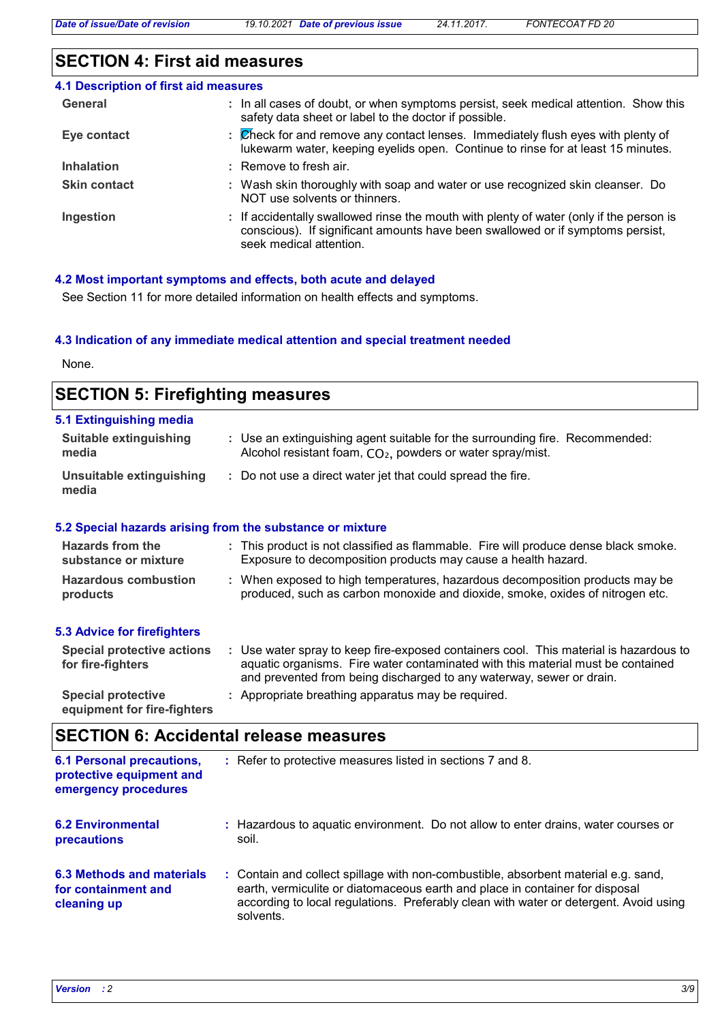## **SECTION 4: First aid measures**

| 4.1 Description of first aid measures |                                                                                                                                                                                                      |
|---------------------------------------|------------------------------------------------------------------------------------------------------------------------------------------------------------------------------------------------------|
| General                               | : In all cases of doubt, or when symptoms persist, seek medical attention. Show this<br>safety data sheet or label to the doctor if possible.                                                        |
| Eye contact                           | : Check for and remove any contact lenses. Immediately flush eyes with plenty of<br>lukewarm water, keeping eyelids open. Continue to rinse for at least 15 minutes.                                 |
| <b>Inhalation</b>                     | $:$ Remove to fresh air.                                                                                                                                                                             |
| <b>Skin contact</b>                   | : Wash skin thoroughly with soap and water or use recognized skin cleanser. Do<br>NOT use solvents or thinners.                                                                                      |
| Ingestion                             | : If accidentally swallowed rinse the mouth with plenty of water (only if the person is<br>conscious). If significant amounts have been swallowed or if symptoms persist,<br>seek medical attention. |

#### **4.2 Most important symptoms and effects, both acute and delayed**

See Section 11 for more detailed information on health effects and symptoms.

#### **4.3 Indication of any immediate medical attention and special treatment needed**

None.

| <b>SECTION 5: Firefighting measures</b>                           |                                                                                                                                                                                                                                                  |  |
|-------------------------------------------------------------------|--------------------------------------------------------------------------------------------------------------------------------------------------------------------------------------------------------------------------------------------------|--|
| 5.1 Extinguishing media<br><b>Suitable extinguishing</b><br>media | : Use an extinguishing agent suitable for the surrounding fire. Recommended:<br>Alcohol resistant foam, CO <sub>2</sub> , powders or water spray/mist.                                                                                           |  |
| <b>Unsuitable extinguishing</b><br>media                          | : Do not use a direct water jet that could spread the fire.                                                                                                                                                                                      |  |
|                                                                   | 5.2 Special hazards arising from the substance or mixture                                                                                                                                                                                        |  |
| <b>Hazards from the</b><br>substance or mixture                   | : This product is not classified as flammable. Fire will produce dense black smoke.<br>Exposure to decomposition products may cause a health hazard.                                                                                             |  |
| <b>Hazardous combustion</b><br>products                           | : When exposed to high temperatures, hazardous decomposition products may be<br>produced, such as carbon monoxide and dioxide, smoke, oxides of nitrogen etc.                                                                                    |  |
| <b>5.3 Advice for firefighters</b>                                |                                                                                                                                                                                                                                                  |  |
| <b>Special protective actions</b><br>for fire-fighters            | : Use water spray to keep fire-exposed containers cool. This material is hazardous to<br>aquatic organisms. Fire water contaminated with this material must be contained<br>and prevented from being discharged to any waterway, sewer or drain. |  |
| <b>Special protective</b><br>equipment for fire-fighters          | : Appropriate breathing apparatus may be required.                                                                                                                                                                                               |  |

## **SECTION 6: Accidental release measures**

| <b>6.1 Personal precautions,</b><br>protective equipment and<br>emergency procedures | : Refer to protective measures listed in sections 7 and 8.                                                                                                                                                                                                               |
|--------------------------------------------------------------------------------------|--------------------------------------------------------------------------------------------------------------------------------------------------------------------------------------------------------------------------------------------------------------------------|
| <b>6.2 Environmental</b><br>precautions                                              | : Hazardous to aquatic environment. Do not allow to enter drains, water courses or<br>soil.                                                                                                                                                                              |
| 6.3 Methods and materials<br>for containment and<br>cleaning up                      | : Contain and collect spillage with non-combustible, absorbent material e.g. sand,<br>earth, vermiculite or diatomaceous earth and place in container for disposal<br>according to local regulations. Preferably clean with water or detergent. Avoid using<br>solvents. |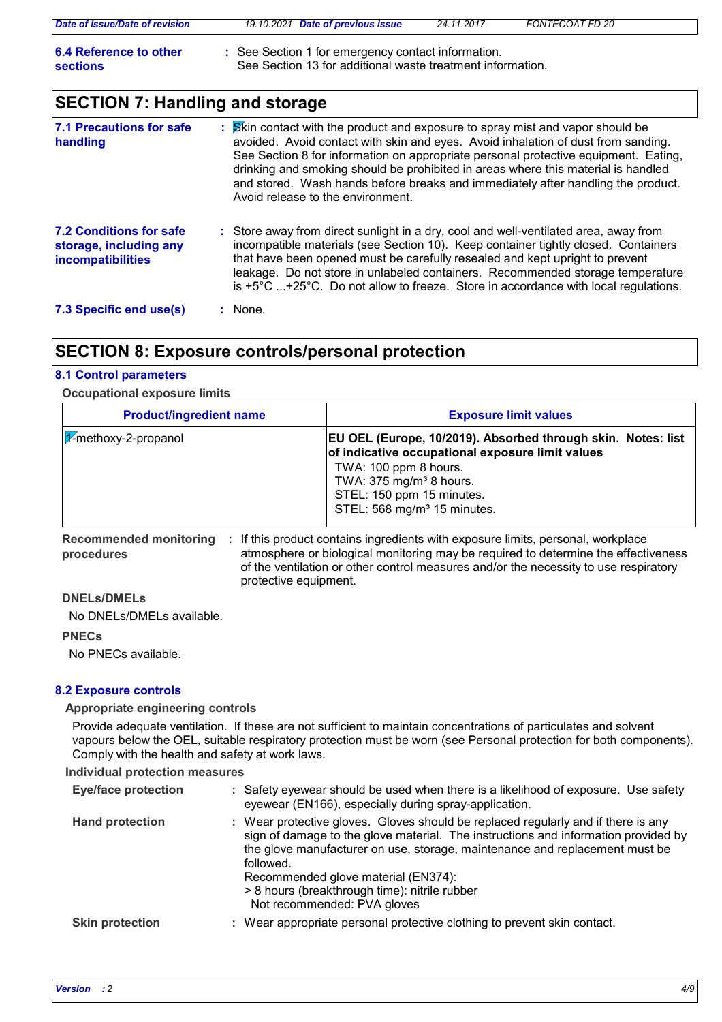| Date of issue/Date of revision     | 19.10.2021 Date of previous issue                                                                                | 24.11.2017. | FONTECOAT FD 20 |
|------------------------------------|------------------------------------------------------------------------------------------------------------------|-------------|-----------------|
| 6.4 Reference to other<br>sections | : See Section 1 for emergency contact information.<br>See Section 13 for additional waste treatment information. |             |                 |

## **SECTION 7: Handling and storage**

| <b>7.1 Precautions for safe</b><br>handling                                          | : Skin contact with the product and exposure to spray mist and vapor should be<br>avoided. Avoid contact with skin and eyes. Avoid inhalation of dust from sanding.<br>See Section 8 for information on appropriate personal protective equipment. Eating,<br>drinking and smoking should be prohibited in areas where this material is handled<br>and stored. Wash hands before breaks and immediately after handling the product.<br>Avoid release to the environment. |
|--------------------------------------------------------------------------------------|--------------------------------------------------------------------------------------------------------------------------------------------------------------------------------------------------------------------------------------------------------------------------------------------------------------------------------------------------------------------------------------------------------------------------------------------------------------------------|
| <b>7.2 Conditions for safe</b><br>storage, including any<br><b>incompatibilities</b> | : Store away from direct sunlight in a dry, cool and well-ventilated area, away from<br>incompatible materials (see Section 10). Keep container tightly closed. Containers<br>that have been opened must be carefully resealed and kept upright to prevent<br>leakage. Do not store in unlabeled containers. Recommended storage temperature<br>is $+5^{\circ}$ C $+25^{\circ}$ C. Do not allow to freeze. Store in accordance with local regulations.                   |
| 7.3 Specific end use(s)                                                              | : None.                                                                                                                                                                                                                                                                                                                                                                                                                                                                  |

## **SECTION 8: Exposure controls/personal protection**

#### **8.1 Control parameters**

#### **Occupational exposure limits**

| <b>Product/ingredient name</b>     | <b>Exposure limit values</b>                                                                                                                                                                                                                            |
|------------------------------------|---------------------------------------------------------------------------------------------------------------------------------------------------------------------------------------------------------------------------------------------------------|
| $ \mathcal{X}$ -methoxy-2-propanol | EU OEL (Europe, 10/2019). Absorbed through skin. Notes: list<br>of indicative occupational exposure limit values<br>TWA: 100 ppm 8 hours.<br>TWA: $375 \text{ mg/m}^3$ 8 hours.<br>STEL: 150 ppm 15 minutes.<br>STEL: 568 mg/m <sup>3</sup> 15 minutes. |

**Recommended monitoring**  If this product contains ingredients with exposure limits, personal, workplace **: procedures** atmosphere or biological monitoring may be required to determine the effectiveness of the ventilation or other control measures and/or the necessity to use respiratory protective equipment.

### **DNELs/DMELs**

No DNELs/DMELs available.

#### **PNECs**

No PNECs available.

#### **8.2 Exposure controls**

#### **Appropriate engineering controls**

Provide adequate ventilation. If these are not sufficient to maintain concentrations of particulates and solvent vapours below the OEL, suitable respiratory protection must be worn (see Personal protection for both components). Comply with the health and safety at work laws.

#### **Individual protection measures**

| <b>Eye/face protection</b> | : Safety eyewear should be used when there is a likelihood of exposure. Use safety<br>eyewear (EN166), especially during spray-application.                                                                                                                                                                                                                                                |
|----------------------------|--------------------------------------------------------------------------------------------------------------------------------------------------------------------------------------------------------------------------------------------------------------------------------------------------------------------------------------------------------------------------------------------|
| <b>Hand protection</b>     | : Wear protective gloves. Gloves should be replaced regularly and if there is any<br>sign of damage to the glove material. The instructions and information provided by<br>the glove manufacturer on use, storage, maintenance and replacement must be<br>followed.<br>Recommended glove material (EN374):<br>> 8 hours (breakthrough time): nitrile rubber<br>Not recommended: PVA gloves |
| <b>Skin protection</b>     | : Wear appropriate personal protective clothing to prevent skin contact.                                                                                                                                                                                                                                                                                                                   |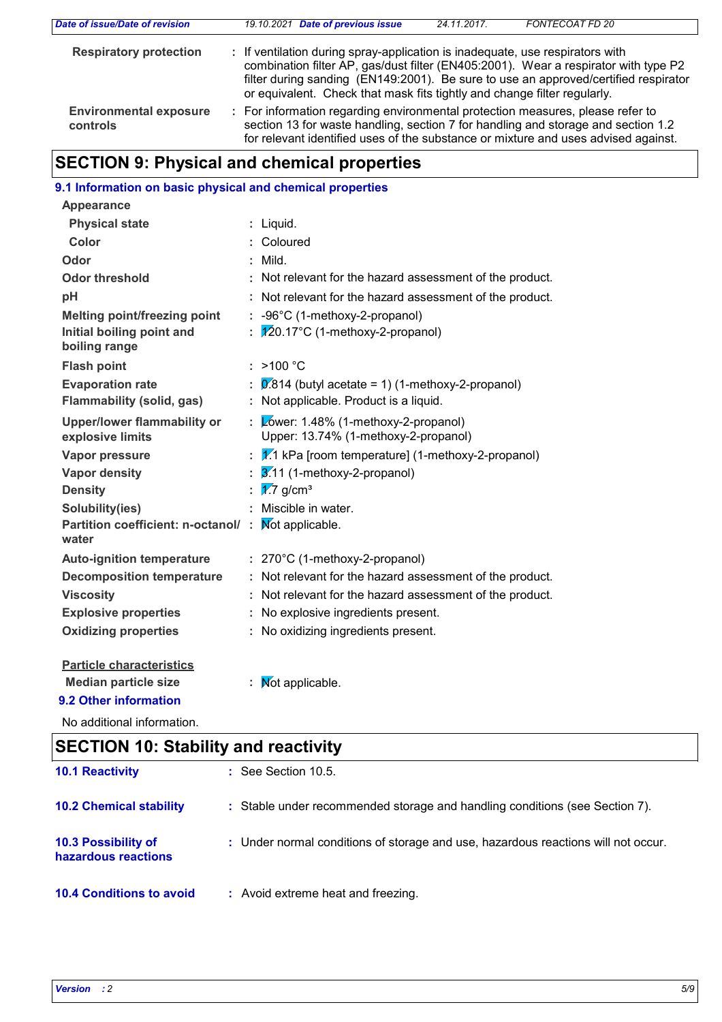| Date of issue/Date of revision            | 19.10.2021 Date of previous issue                                                                                                                                                                                                                                                                                                       | 24.11.2017. | FONTECOAT FD 20 |
|-------------------------------------------|-----------------------------------------------------------------------------------------------------------------------------------------------------------------------------------------------------------------------------------------------------------------------------------------------------------------------------------------|-------------|-----------------|
| <b>Respiratory protection</b>             | : If ventilation during spray-application is inadequate, use respirators with<br>combination filter AP, gas/dust filter (EN405:2001). Wear a respirator with type P2<br>filter during sanding (EN149:2001). Be sure to use an approved/certified respirator<br>or equivalent. Check that mask fits tightly and change filter regularly. |             |                 |
| <b>Environmental exposure</b><br>controls | : For information regarding environmental protection measures, please refer to<br>section 13 for waste handling, section 7 for handling and storage and section 1.2<br>for relevant identified uses of the substance or mixture and uses advised against.                                                                               |             |                 |

## **SECTION 9: Physical and chemical properties**

| 9.1 Information on basic physical and chemical properties   |                                                                                            |
|-------------------------------------------------------------|--------------------------------------------------------------------------------------------|
| <b>Appearance</b>                                           |                                                                                            |
| <b>Physical state</b>                                       | : Liquid.                                                                                  |
| <b>Color</b>                                                | Coloured                                                                                   |
| Odor                                                        | Mild.                                                                                      |
| <b>Odor threshold</b>                                       | : Not relevant for the hazard assessment of the product.                                   |
| pH                                                          | Not relevant for the hazard assessment of the product.                                     |
| <b>Melting point/freezing point</b>                         | : -96°C (1-methoxy-2-propanol)                                                             |
| Initial boiling point and<br>boiling range                  | $\sqrt{20.17^{\circ}}$ C (1-methoxy-2-propanol)                                            |
| <b>Flash point</b>                                          | : $>100 °C$                                                                                |
| <b>Evaporation rate</b><br><b>Flammability (solid, gas)</b> | $0.814$ (butyl acetate = 1) (1-methoxy-2-propanol)<br>Not applicable. Product is a liquid. |
| <b>Upper/lower flammability or</b><br>explosive limits      | Zower: 1.48% (1-methoxy-2-propanol)<br>Upper: 13.74% (1-methoxy-2-propanol)                |
| <b>Vapor pressure</b>                                       | $V$ .1 kPa [room temperature] (1-methoxy-2-propanol)                                       |
| <b>Vapor density</b>                                        | $\overline{3.11}$ (1-methoxy-2-propanol)                                                   |
| <b>Density</b>                                              | $\sqrt{27}$ g/cm <sup>3</sup>                                                              |
| Solubility(ies)                                             | Miscible in water.                                                                         |
| Partition coefficient: n-octanol/ :<br>water                | Not applicable.                                                                            |
| <b>Auto-ignition temperature</b>                            | : 270°C (1-methoxy-2-propanol)                                                             |
| <b>Decomposition temperature</b>                            | : Not relevant for the hazard assessment of the product.                                   |
| <b>Viscosity</b>                                            | Not relevant for the hazard assessment of the product.                                     |
| <b>Explosive properties</b>                                 | No explosive ingredients present.                                                          |
| <b>Oxidizing properties</b>                                 | : No oxidizing ingredients present.                                                        |
| <b>Particle characteristics</b>                             |                                                                                            |
| <b>Median particle size</b>                                 | Mot applicable.                                                                            |
| 9.2 Other information                                       |                                                                                            |

No additional information.

| <b>SECTION 10: Stability and reactivity</b> |                                                                                   |  |
|---------------------------------------------|-----------------------------------------------------------------------------------|--|
| <b>10.1 Reactivity</b>                      | $\therefore$ See Section 10.5.                                                    |  |
| <b>10.2 Chemical stability</b>              | : Stable under recommended storage and handling conditions (see Section 7).       |  |
| 10.3 Possibility of<br>hazardous reactions  | : Under normal conditions of storage and use, hazardous reactions will not occur. |  |
| <b>10.4 Conditions to avoid</b>             | : Avoid extreme heat and freezing.                                                |  |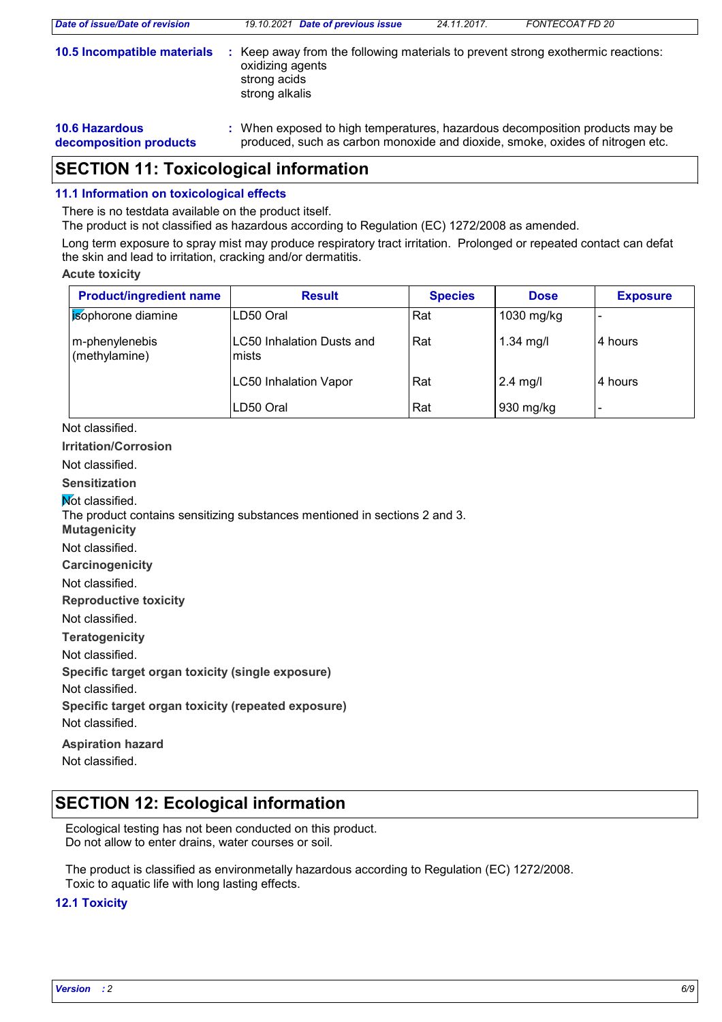| Date of issue/Date of revision                  | 19.10.2021 Date of previous issue                                                                                                                             | 24.11.2017.                                                                    | FONTECOAT FD 20 |  |
|-------------------------------------------------|---------------------------------------------------------------------------------------------------------------------------------------------------------------|--------------------------------------------------------------------------------|-----------------|--|
| 10.5 Incompatible materials                     | oxidizing agents<br>strong acids<br>strong alkalis                                                                                                            | Keep away from the following materials to prevent strong exothermic reactions: |                 |  |
| <b>10.6 Hazardous</b><br>decomposition products | : When exposed to high temperatures, hazardous decomposition products may be<br>produced, such as carbon monoxide and dioxide, smoke, oxides of nitrogen etc. |                                                                                |                 |  |

## **SECTION 11: Toxicological information**

#### **11.1 Information on toxicological effects**

There is no testdata available on the product itself.

The product is not classified as hazardous according to Regulation (EC) 1272/2008 as amended.

Long term exposure to spray mist may produce respiratory tract irritation. Prolonged or repeated contact can defat the skin and lead to irritation, cracking and/or dermatitis.

#### **Acute toxicity**

| <b>Product/ingredient name</b>  | <b>Result</b>                      | <b>Species</b> | <b>Dose</b> | <b>Exposure</b> |
|---------------------------------|------------------------------------|----------------|-------------|-----------------|
| sophorone diamine               | LD50 Oral                          | Rat            | 1030 mg/kg  |                 |
| m-phenylenebis<br>(methylamine) | LC50 Inhalation Dusts and<br>mists | Rat            | $1.34$ mg/l | 4 hours         |
|                                 | <b>LC50 Inhalation Vapor</b>       | Rat            | $2.4$ mg/l  | 4 hours         |
|                                 | LD50 Oral                          | Rat            | 930 mg/kg   |                 |

#### Not classified.

**Irritation/Corrosion**

Not classified.

#### **Sensitization**

**Not classified.** 

The product contains sensitizing substances mentioned in sections 2 and 3.

- **Mutagenicity**
- Not classified.

**Carcinogenicity**

Not classified.

**Reproductive toxicity**

Not classified.

**Teratogenicity**

Not classified.

**Specific target organ toxicity (single exposure)**

Not classified.

**Specific target organ toxicity (repeated exposure)**

Not classified.

**Aspiration hazard** Not classified.

## **SECTION 12: Ecological information**

Ecological testing has not been conducted on this product. Do not allow to enter drains, water courses or soil.

The product is classified as environmetally hazardous according to Regulation (EC) 1272/2008. Toxic to aquatic life with long lasting effects.

#### **12.1 Toxicity**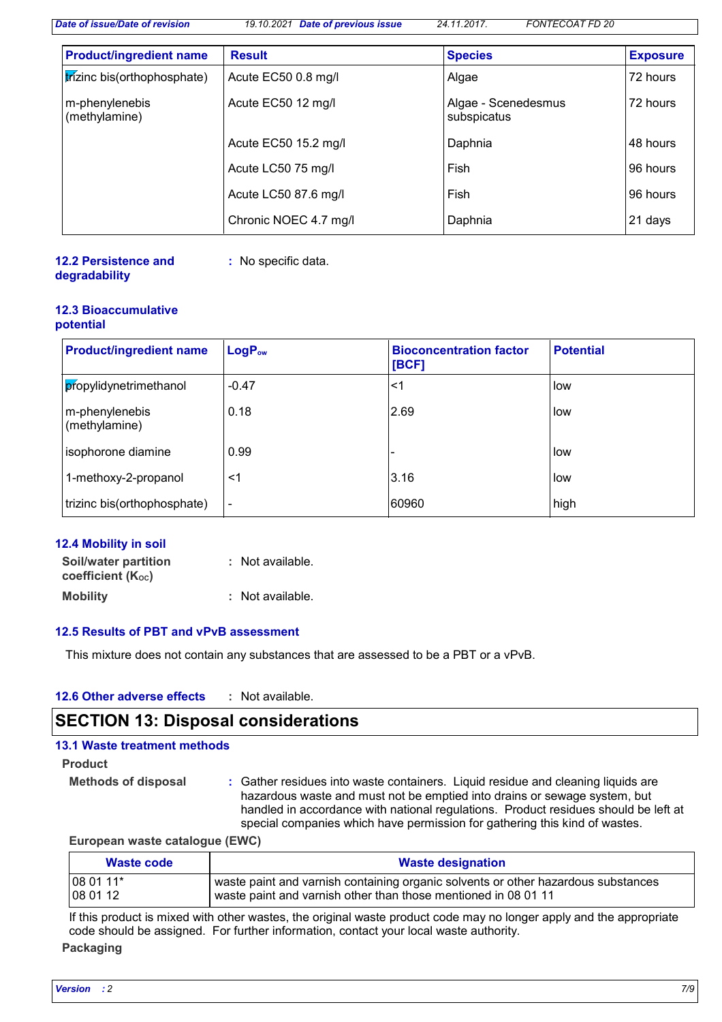*Date of issue/Date of revision 19.10.2021 Date of previous issue 24.11.2017. FONTECOAT FD 20*

| <b>Product/ingredient name</b>  | <b>Result</b>         | <b>Species</b>                     | <b>Exposure</b> |
|---------------------------------|-----------------------|------------------------------------|-----------------|
| trizinc bis(orthophosphate)     | Acute EC50 0.8 mg/l   | Algae                              | 72 hours        |
| m-phenylenebis<br>(methylamine) | Acute EC50 12 mg/l    | Algae - Scenedesmus<br>subspicatus | 72 hours        |
|                                 | Acute EC50 15.2 mg/l  | Daphnia                            | 48 hours        |
|                                 | Acute LC50 75 mg/l    | Fish                               | 96 hours        |
|                                 | Acute LC50 87.6 mg/l  | Fish                               | 96 hours        |
|                                 | Chronic NOEC 4.7 mg/l | Daphnia                            | 21 days         |

#### **12.2 Persistence and degradability**

**:** No specific data.

#### **12.3 Bioaccumulative potential**

| <b>Product/ingredient name</b>  | LogP <sub>ow</sub>       | <b>Bioconcentration factor</b><br>[BCF] | <b>Potential</b> |
|---------------------------------|--------------------------|-----------------------------------------|------------------|
| propylidynetrimethanol          | $-0.47$                  | <1                                      | low              |
| m-phenylenebis<br>(methylamine) | 0.18                     | 2.69                                    | low              |
| isophorone diamine              | 0.99                     |                                         | low              |
| 1-methoxy-2-propanol            | <1                       | 3.16                                    | low              |
| trizinc bis(orthophosphate)     | $\overline{\phantom{0}}$ | 60960                                   | high             |

| 12.4 Mobility in soil    |                  |
|--------------------------|------------------|
| Soil/water partition     | : Not available. |
| <b>coefficient (Koc)</b> |                  |
| <b>Mobility</b>          | : Not available. |

#### **12.5 Results of PBT and vPvB assessment**

This mixture does not contain any substances that are assessed to be a PBT or a vPvB.

| 12.6 Other adverse effects<br>Not available. |  |
|----------------------------------------------|--|
|----------------------------------------------|--|

## **SECTION 13: Disposal considerations**

| <b>13.1 Waste treatment methods</b> |                                                                                                                                                                                                                                                                                                                                    |
|-------------------------------------|------------------------------------------------------------------------------------------------------------------------------------------------------------------------------------------------------------------------------------------------------------------------------------------------------------------------------------|
| <b>Product</b>                      |                                                                                                                                                                                                                                                                                                                                    |
| <b>Methods of disposal</b>          | : Gather residues into waste containers. Liquid residue and cleaning liquids are<br>hazardous waste and must not be emptied into drains or sewage system, but<br>handled in accordance with national regulations. Product residues should be left at<br>special companies which have permission for gathering this kind of wastes. |

#### **European waste catalogue (EWC)**

| Waste code | <b>Waste designation</b>                                                          |
|------------|-----------------------------------------------------------------------------------|
| 08 01 11*  | waste paint and varnish containing organic solvents or other hazardous substances |
| 08 01 12   | waste paint and varnish other than those mentioned in 08 01 11                    |

If this product is mixed with other wastes, the original waste product code may no longer apply and the appropriate code should be assigned. For further information, contact your local waste authority.

#### **Packaging**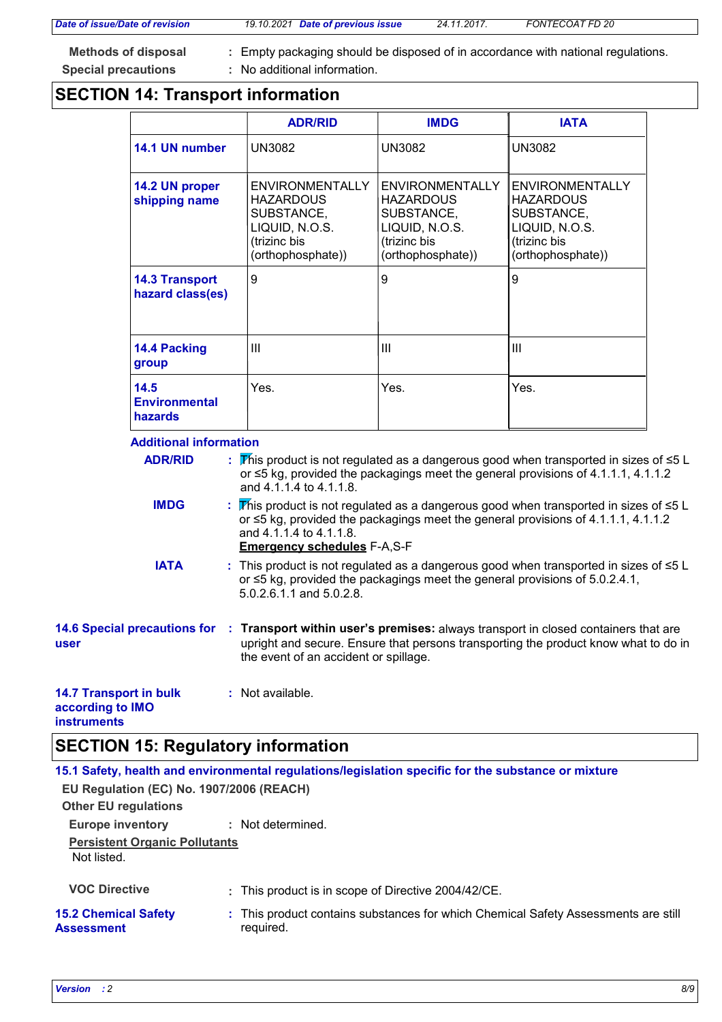*Date of issue/Date of revision 19.10.2021 Date of previous issue 24.11.2017. FONTECOAT FD 20*

**Methods of disposal : Special precautions :**

Empty packaging should be disposed of in accordance with national regulations. : No additional information.

## **SECTION 14: Transport information**

|                                                 |                                                                                                                                                                                                        | <b>ADR/RID</b>                                                | <b>IMDG</b>                                                                                                                                                                                                                                     | <b>IATA</b>                                                                                                                                                                          |  |  |  |
|-------------------------------------------------|--------------------------------------------------------------------------------------------------------------------------------------------------------------------------------------------------------|---------------------------------------------------------------|-------------------------------------------------------------------------------------------------------------------------------------------------------------------------------------------------------------------------------------------------|--------------------------------------------------------------------------------------------------------------------------------------------------------------------------------------|--|--|--|
| 14.1 UN number                                  |                                                                                                                                                                                                        | <b>UN3082</b>                                                 | <b>UN3082</b>                                                                                                                                                                                                                                   | <b>UN3082</b>                                                                                                                                                                        |  |  |  |
| shipping name                                   | 14.2 UN proper                                                                                                                                                                                         |                                                               | <b>ENVIRONMENTALLY</b><br><b>HAZARDOUS</b><br>SUBSTANCE,<br>LIQUID, N.O.S.<br>(trizinc bis<br>(orthophosphate))                                                                                                                                 | <b>ENVIRONMENTALLY</b><br><b>HAZARDOUS</b><br>SUBSTANCE,<br>LIQUID, N.O.S.<br>(trizinc bis<br>(orthophosphate))                                                                      |  |  |  |
| <b>14.3 Transport</b><br>hazard class(es)       |                                                                                                                                                                                                        | 9                                                             | 9                                                                                                                                                                                                                                               | 9                                                                                                                                                                                    |  |  |  |
| 14.4 Packing<br>group                           |                                                                                                                                                                                                        | $\mathbf{III}$                                                | III                                                                                                                                                                                                                                             | III                                                                                                                                                                                  |  |  |  |
| 14.5<br><b>Environmental</b><br>hazards         |                                                                                                                                                                                                        | Yes.                                                          | Yes.                                                                                                                                                                                                                                            | Yes.                                                                                                                                                                                 |  |  |  |
| <b>Additional information</b><br><b>ADR/RID</b> |                                                                                                                                                                                                        | and 4.1.1.4 to 4.1.1.8.                                       |                                                                                                                                                                                                                                                 | This product is not regulated as a dangerous good when transported in sizes of $\leq 5$ L<br>or $\leq$ 5 kg, provided the packagings meet the general provisions of 4.1.1.1, 4.1.1.2 |  |  |  |
| <b>IMDG</b>                                     |                                                                                                                                                                                                        | and 4.1.1.4 to 4.1.1.8.<br><b>Emergency schedules F-A,S-F</b> |                                                                                                                                                                                                                                                 | This product is not regulated as a dangerous good when transported in sizes of $\leq 5$ L<br>or ≤5 kg, provided the packagings meet the general provisions of 4.1.1.1, 4.1.1.2       |  |  |  |
| <b>IATA</b>                                     | : This product is not regulated as a dangerous good when transported in sizes of ≤5 L<br>or $\leq$ 5 kg, provided the packagings meet the general provisions of 5.0.2.4.1,<br>5.0.2.6.1.1 and 5.0.2.8. |                                                               |                                                                                                                                                                                                                                                 |                                                                                                                                                                                      |  |  |  |
| user                                            |                                                                                                                                                                                                        |                                                               | 14.6 Special precautions for : Transport within user's premises: always transport in closed containers that are<br>upright and secure. Ensure that persons transporting the product know what to do in<br>the event of an accident or spillage. |                                                                                                                                                                                      |  |  |  |
| <b>14.7 Transport in bulk</b>                   |                                                                                                                                                                                                        | : Not available.                                              |                                                                                                                                                                                                                                                 |                                                                                                                                                                                      |  |  |  |

#### **14.7 Tra according to IMO instruments**

## **SECTION 15: Regulatory information**

|                                                     | 15.1 Safety, health and environmental regulations/legislation specific for the substance or mixture |  |  |  |  |  |
|-----------------------------------------------------|-----------------------------------------------------------------------------------------------------|--|--|--|--|--|
| EU Regulation (EC) No. 1907/2006 (REACH)            |                                                                                                     |  |  |  |  |  |
| <b>Other EU regulations</b>                         |                                                                                                     |  |  |  |  |  |
| <b>Europe inventory</b>                             | : Not determined.                                                                                   |  |  |  |  |  |
| <b>Persistent Organic Pollutants</b><br>Not listed. |                                                                                                     |  |  |  |  |  |
| <b>VOC Directive</b>                                | : This product is in scope of Directive 2004/42/CE.                                                 |  |  |  |  |  |
| <b>15.2 Chemical Safety</b><br><b>Assessment</b>    | : This product contains substances for which Chemical Safety Assessments are still<br>required.     |  |  |  |  |  |